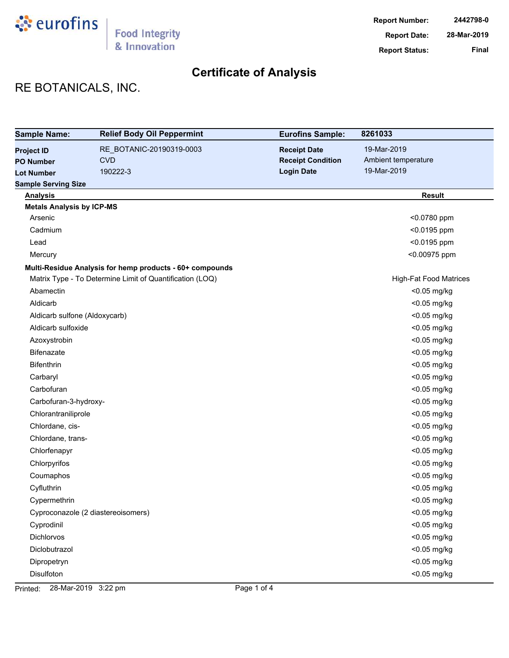

# RE BOTANICALS, INC.

| <b>Sample Name:</b>              | <b>Relief Body Oil Peppermint</b>                        | <b>Eurofins Sample:</b>  | 8261033                       |
|----------------------------------|----------------------------------------------------------|--------------------------|-------------------------------|
| <b>Project ID</b>                | RE_BOTANIC-20190319-0003                                 | <b>Receipt Date</b>      | 19-Mar-2019                   |
| <b>PO Number</b>                 | <b>CVD</b>                                               | <b>Receipt Condition</b> | Ambient temperature           |
| <b>Lot Number</b>                | 190222-3                                                 | <b>Login Date</b>        | 19-Mar-2019                   |
| <b>Sample Serving Size</b>       |                                                          |                          |                               |
| <b>Analysis</b>                  |                                                          |                          | <b>Result</b>                 |
| <b>Metals Analysis by ICP-MS</b> |                                                          |                          |                               |
| Arsenic                          |                                                          |                          | <0.0780 ppm                   |
| Cadmium                          |                                                          |                          | <0.0195 ppm                   |
| Lead                             |                                                          |                          | <0.0195 ppm                   |
| Mercury                          |                                                          |                          | <0.00975 ppm                  |
|                                  | Multi-Residue Analysis for hemp products - 60+ compounds |                          |                               |
|                                  | Matrix Type - To Determine Limit of Quantification (LOQ) |                          | <b>High-Fat Food Matrices</b> |
| Abamectin                        |                                                          |                          | <0.05 mg/kg                   |
| Aldicarb                         |                                                          |                          | <0.05 mg/kg                   |
| Aldicarb sulfone (Aldoxycarb)    |                                                          |                          | <0.05 mg/kg                   |
| Aldicarb sulfoxide               |                                                          |                          | <0.05 mg/kg                   |
| Azoxystrobin                     |                                                          |                          | <0.05 mg/kg                   |
| <b>Bifenazate</b>                |                                                          |                          | <0.05 mg/kg                   |
| <b>Bifenthrin</b>                |                                                          |                          | <0.05 mg/kg                   |
| Carbaryl                         |                                                          |                          | <0.05 mg/kg                   |
| Carbofuran                       |                                                          |                          | <0.05 mg/kg                   |
| Carbofuran-3-hydroxy-            |                                                          |                          | <0.05 mg/kg                   |
| Chlorantraniliprole              |                                                          |                          | <0.05 mg/kg                   |
| Chlordane, cis-                  |                                                          |                          | <0.05 mg/kg                   |
| Chlordane, trans-                |                                                          |                          | <0.05 mg/kg                   |
| Chlorfenapyr                     |                                                          |                          | <0.05 mg/kg                   |
| Chlorpyrifos                     |                                                          |                          | <0.05 mg/kg                   |
| Coumaphos                        |                                                          |                          | <0.05 mg/kg                   |
| Cyfluthrin                       |                                                          |                          | <0.05 mg/kg                   |
| Cypermethrin                     |                                                          |                          | <0.05 mg/kg                   |
|                                  | Cyproconazole (2 diastereoisomers)                       |                          | <0.05 mg/kg                   |
| Cyprodinil                       |                                                          |                          | <0.05 mg/kg                   |
| Dichlorvos                       |                                                          |                          | <0.05 mg/kg                   |
| Diclobutrazol                    |                                                          |                          | <0.05 mg/kg                   |
| Dipropetryn                      |                                                          |                          | <0.05 mg/kg                   |
| Disulfoton                       |                                                          |                          | <0.05 mg/kg                   |

Printed: 28-Mar-2019 3:22 pm Page 1 of 4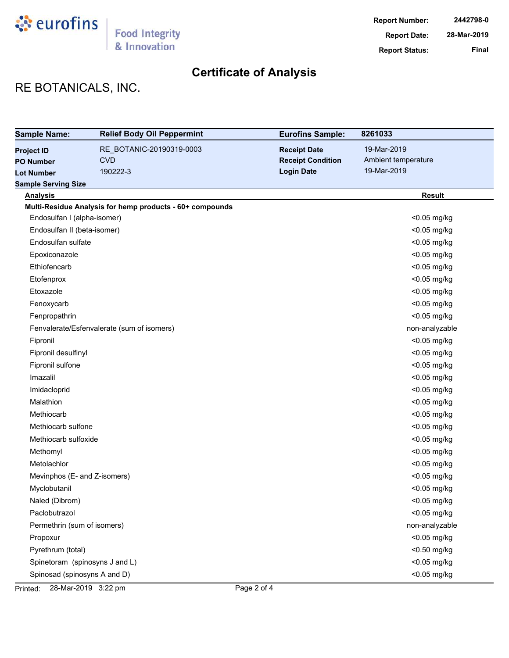

# RE BOTANICALS, INC.

| <b>Sample Name:</b>            | <b>Relief Body Oil Peppermint</b>                        | <b>Eurofins Sample:</b>  | 8261033             |
|--------------------------------|----------------------------------------------------------|--------------------------|---------------------|
| <b>Project ID</b>              | RE_BOTANIC-20190319-0003                                 | <b>Receipt Date</b>      | 19-Mar-2019         |
| <b>PO Number</b>               | <b>CVD</b>                                               | <b>Receipt Condition</b> | Ambient temperature |
| <b>Lot Number</b>              | 190222-3                                                 | <b>Login Date</b>        | 19-Mar-2019         |
| <b>Sample Serving Size</b>     |                                                          |                          |                     |
| <b>Analysis</b>                |                                                          |                          | <b>Result</b>       |
|                                | Multi-Residue Analysis for hemp products - 60+ compounds |                          |                     |
| Endosulfan I (alpha-isomer)    |                                                          |                          | <0.05 mg/kg         |
| Endosulfan II (beta-isomer)    |                                                          |                          | <0.05 mg/kg         |
| Endosulfan sulfate             |                                                          |                          | <0.05 mg/kg         |
| Epoxiconazole                  |                                                          |                          | <0.05 mg/kg         |
| Ethiofencarb                   |                                                          |                          | <0.05 mg/kg         |
| Etofenprox                     |                                                          |                          | <0.05 mg/kg         |
| Etoxazole                      |                                                          |                          | <0.05 mg/kg         |
| Fenoxycarb                     |                                                          |                          | <0.05 mg/kg         |
| Fenpropathrin                  |                                                          |                          | <0.05 mg/kg         |
|                                | Fenvalerate/Esfenvalerate (sum of isomers)               |                          | non-analyzable      |
| Fipronil                       |                                                          |                          | <0.05 mg/kg         |
| Fipronil desulfinyl            |                                                          |                          | <0.05 mg/kg         |
| Fipronil sulfone               |                                                          |                          | <0.05 mg/kg         |
| Imazalil                       |                                                          |                          | <0.05 mg/kg         |
| Imidacloprid                   |                                                          |                          | <0.05 mg/kg         |
| Malathion                      |                                                          |                          | <0.05 mg/kg         |
| Methiocarb                     |                                                          |                          | <0.05 mg/kg         |
| Methiocarb sulfone             |                                                          |                          | <0.05 mg/kg         |
| Methiocarb sulfoxide           |                                                          |                          | <0.05 mg/kg         |
| Methomyl                       |                                                          |                          | <0.05 mg/kg         |
| Metolachlor                    |                                                          |                          | <0.05 mg/kg         |
| Mevinphos (E- and Z-isomers)   |                                                          |                          | <0.05 mg/kg         |
| Myclobutanil                   |                                                          |                          | <0.05 mg/kg         |
| Naled (Dibrom)                 |                                                          |                          | <0.05 mg/kg         |
| Paclobutrazol                  |                                                          |                          | <0.05 mg/kg         |
| Permethrin (sum of isomers)    |                                                          |                          | non-analyzable      |
| Propoxur                       |                                                          |                          | <0.05 mg/kg         |
| Pyrethrum (total)              |                                                          |                          | <0.50 mg/kg         |
| Spinetoram (spinosyns J and L) |                                                          |                          | <0.05 mg/kg         |
| Spinosad (spinosyns A and D)   |                                                          |                          | <0.05 mg/kg         |

Printed: 28-Mar-2019 3:22 pm Page 2 of 4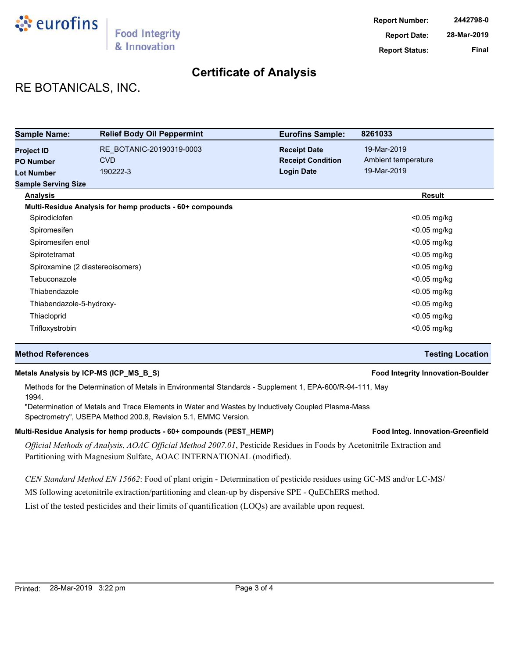

# RE BOTANICALS, INC.

| <b>Sample Name:</b>              | <b>Relief Body Oil Peppermint</b>                        | <b>Eurofins Sample:</b>  | 8261033             |
|----------------------------------|----------------------------------------------------------|--------------------------|---------------------|
| <b>Project ID</b>                | RE_BOTANIC-20190319-0003                                 | <b>Receipt Date</b>      | 19-Mar-2019         |
| <b>PO Number</b>                 | <b>CVD</b>                                               | <b>Receipt Condition</b> | Ambient temperature |
| <b>Lot Number</b>                | 190222-3                                                 | <b>Login Date</b>        | 19-Mar-2019         |
| <b>Sample Serving Size</b>       |                                                          |                          |                     |
| <b>Analysis</b>                  |                                                          |                          | <b>Result</b>       |
|                                  | Multi-Residue Analysis for hemp products - 60+ compounds |                          |                     |
| Spirodiclofen                    |                                                          |                          | $<$ 0.05 mg/kg      |
| Spiromesifen                     |                                                          |                          | $<$ 0.05 mg/kg      |
| Spiromesifen enol                |                                                          |                          | $<$ 0.05 mg/kg      |
| Spirotetramat                    |                                                          |                          | $<$ 0.05 mg/kg      |
| Spiroxamine (2 diastereoisomers) |                                                          |                          | $<$ 0.05 mg/kg      |
| Tebuconazole                     |                                                          |                          | $<$ 0.05 mg/kg      |
| Thiabendazole                    |                                                          |                          | $<$ 0.05 mg/kg      |
| Thiabendazole-5-hydroxy-         |                                                          |                          | $<$ 0.05 mg/kg      |
| Thiacloprid                      |                                                          |                          | <0.05 mg/kg         |
| Trifloxystrobin                  |                                                          |                          | $<$ 0.05 mg/kg      |

## **Method References Testing Location**

## **Metals Analysis by ICP-MS (ICP\_MS\_B\_S) Food Integrity Innovation-Boulder**

Methods for the Determination of Metals in Environmental Standards - Supplement 1, EPA-600/R-94-111, May 1994.

"Determination of Metals and Trace Elements in Water and Wastes by Inductively Coupled Plasma-Mass Spectrometry", USEPA Method 200.8, Revision 5.1, EMMC Version.

## Multi-Residue Analysis for hemp products - 60+ compounds (PEST\_HEMP) **Food Integ. Innovation-Greenfield**

*Official Methods of Analysis*, *AOAC Official Method 2007.01*, Pesticide Residues in Foods by Acetonitrile Extraction and Partitioning with Magnesium Sulfate, AOAC INTERNATIONAL (modified).

*CEN Standard Method EN 15662*: Food of plant origin - Determination of pesticide residues using GC-MS and/or LC-MS/

MS following acetonitrile extraction/partitioning and clean-up by dispersive SPE - QuEChERS method.

List of the tested pesticides and their limits of quantification (LOQs) are available upon request.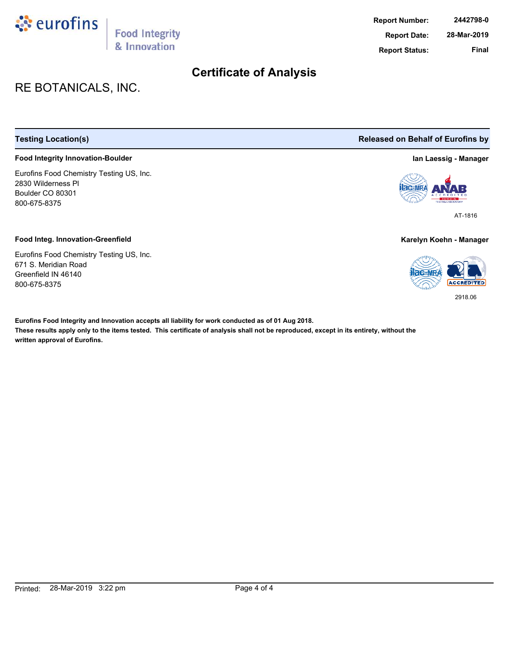

# RE BOTANICALS, INC.

## **Food Integrity Innovation-Boulder Ian Laessig - Manager**

Eurofins Food Chemistry Testing US, Inc. 2830 Wilderness Pl Boulder CO 80301 800-675-8375

### **Food Integ. Innovation-Greenfield Karelyn Koehn - Manager**

Eurofins Food Chemistry Testing US, Inc. 671 S. Meridian Road Greenfield IN 46140 800-675-8375

**These results apply only to the items tested. This certificate of analysis shall not be reproduced, except in its entirety, without the written approval of Eurofins. Eurofins Food Integrity and Innovation accepts all liability for work conducted as of 01 Aug 2018.**

## **Testing Location(s) Released on Behalf of Eurofins by**



AT-1816



2918.06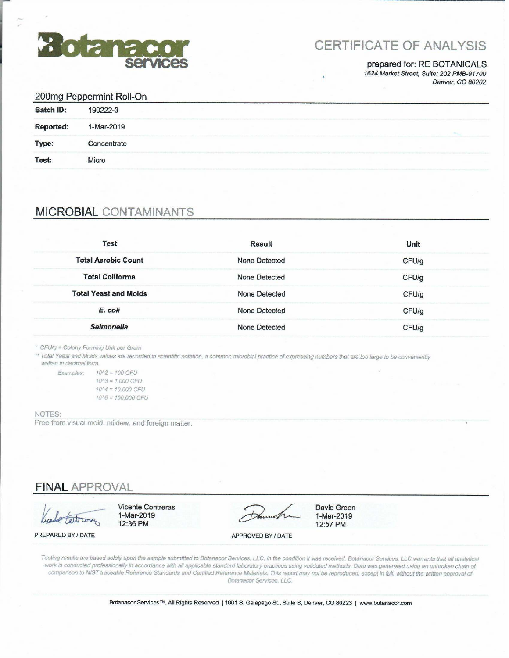

# **CERTIFICATE OF ANALYSIS**

## prepared for: RE BOTANICALS

1624 Market Street, Suite: 202 PMB-91700 Denver, CO 80202

|                  | 200mg Peppermint Roll-On |  |
|------------------|--------------------------|--|
| <b>Batch ID:</b> | 190222-3                 |  |
| <b>Reported:</b> | 1-Mar-2019               |  |
| Type:            | Concentrate              |  |
| Test:            | Micro                    |  |
|                  |                          |  |

# **MICROBIAL CONTAMINANTS**

| <b>Test</b>                  | <b>Result</b>        | Unit  |
|------------------------------|----------------------|-------|
| <b>Total Aerobic Count</b>   | None Detected        | CFU/g |
| <b>Total Coliforms</b>       | <b>None Detected</b> | CFU/g |
| <b>Total Yeast and Molds</b> | <b>None Detected</b> | CFU/g |
| E. coli                      | <b>None Detected</b> | CFU/g |
| <b>Salmonella</b>            | None Detected        | CFU/g |

\* CFU/g = Colony Forming Unit per Gram

\*\* Total Yeast and Molds values are recorded in scientific notation, a common microbial practice of expressing numbers that are too large to be conveniently written in decimal form.

Examples:  $10^h2 = 100$  CFU  $10^{A}3 = 1,000$  CFU  $10^{4} = 10.000$  CFU 10^5 = 100,000 CFU

### NOTES:

Free from visual mold, mildew, and foreign matter.

**FINAL APPROVAL** 

**Vicente Contreras** 1-Mar-2019 12:36 PM

**David Green** 1-Mar-2019 12:57 PM

PREPARED BY / DATE

APPROVED BY / DATE

Testing results are based solely upon the sample submitted to Botanacor Services, LLC, in the condition it was received. Botanacor Services, LLC warrants that all analytical work is conducted professionally in accordance with all applicable standard laboratory practices using validated methods. Data was generated using an unbroken chain of comparison to NIST traceable Reference Standards and Certified Reference Materials. This report may not be reproduced, except in full, without the written approval of Botanacor Services, LLC.

Botanacor Services™, All Rights Reserved | 1001 S. Galapago St., Suite B, Denver, CO 80223 | www.botanacor.com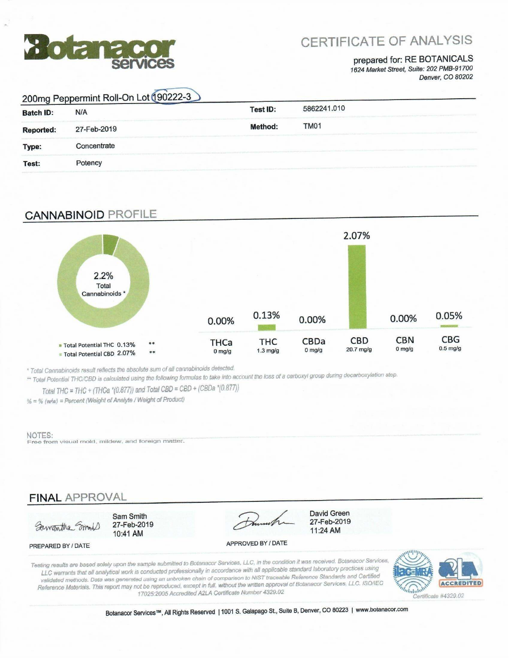

# **CERTIFICATE OF ANALYSIS**

## prepared for: RE BOTANICALS 1624 Market Street, Suite: 202 PMB-91700

Denver, CO 80202

|                  | 200mg Peppermint Roll-On Lot 190222-3 |                 |                  |  |
|------------------|---------------------------------------|-----------------|------------------|--|
| <b>Batch ID:</b> | N/A                                   | <b>Test ID:</b> | 5862241.010      |  |
| <b>Reported:</b> | 27-Feb-2019                           | <b>Method:</b>  | TM <sub>01</sub> |  |
| Type:            | Concentrate                           |                 |                  |  |
| Test:            | Potency                               |                 |                  |  |

## **CANNABINOID PROFILE**



\* Total Cannabinoids result reflects the absolute sum of all cannabinoids detected.

\*\* Total Potential THC/CBD is calculated using the following formulas to take into account the loss of a carboxyl group during decarboxylation step.

Total THC = THC + (THCa \*(0.877)) and Total CBD = CBD + (CBDa \*(0.877))

% = % (w/w) = Percent (Weight of Analyte / Weight of Product)

### NOTES:

Free from visual mold, mildew, and foreign matter.

## **FINAL APPROVAL**

Sawantha Small

PREPARED BY / DATE

Sam Smith 27-Feb-2019 10:41 AM

**David Green** 

27-Feb-2019

11:24 AM

APPROVED BY / DATE

Testing results are based solely upon the sample submitted to Botanacor Services, LLC, in the condition it was received. Botanacor Services, LLC warrants that all analytical work is conducted professionally in accordance with all applicable standard laboratory practices using validated methods. Data was generated using an unbroken chain of comparison to NIST traceable Reference Standards and Certified Reference Materials. This report may not be reproduced, except in full, without the written approval of Botanacor Services, LLC. ISO/IEC 17025:2005 Accredited A2LA Certificate Number 4329.02



Botanacor Services™, All Rights Reserved | 1001 S. Galapago St., Suite B, Denver, CO 80223 | www.botanacor.com